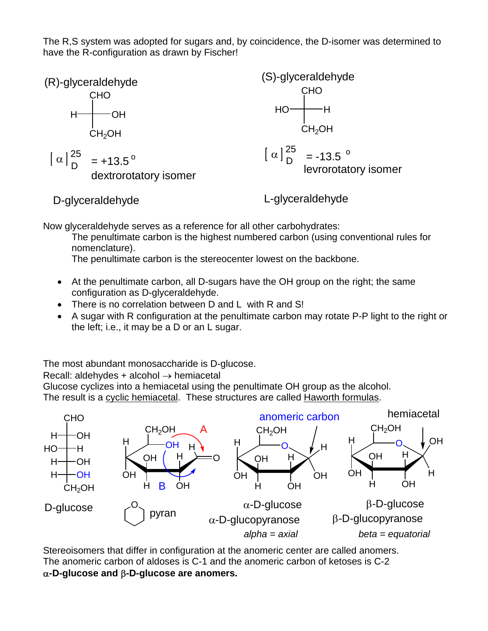The R,S system was adopted for sugars and, by coincidence, the D-isomer was determined to have the R-configuration as drawn by Fischer!



Now glyceraldehyde serves as a reference for all other carbohydrates:

The penultimate carbon is the highest numbered carbon (using conventional rules for nomenclature).

The penultimate carbon is the stereocenter lowest on the backbone.

- At the penultimate carbon, all D-sugars have the OH group on the right; the same configuration as D-glyceraldehyde.
- There is no correlation between D and L with R and S!
- A sugar with R configuration at the penultimate carbon may rotate P-P light to the right or the left; i.e., it may be a D or an L sugar.

The most abundant monosaccharide is D-glucose.

Recall: aldehydes + alcohol  $\rightarrow$  hemiacetal

Glucose cyclizes into a hemiacetal using the penultimate OH group as the alcohol. The result is a cyclic hemiacetal. These structures are called Haworth formulas.



Stereoisomers that differ in configuration at the anomeric center are called anomers. The anomeric carbon of aldoses is C-1 and the anomeric carbon of ketoses is C-2 α**-D-glucose and** β**-D-glucose are anomers.**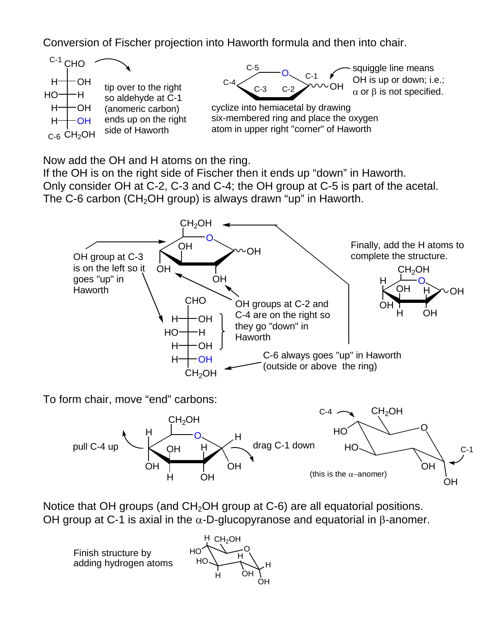Conversion of Fischer projection into Haworth formula and then into chair.



Now add the OH and H atoms on the ring.

If the OH is on the right side of Fischer then it ends up "down" in Haworth. Only consider OH at C-2, C-3 and C-4; the OH group at C-5 is part of the acetal. The C-6 carbon (CH<sub>2</sub>OH group) is always drawn "up" in Haworth.



To form chair, move "end" carbons:



Notice that OH groups (and  $CH<sub>2</sub>OH$  group at C-6) are all equatorial positions. OH group at C-1 is axial in the  $α$ -D-glucopyranose and equatorial in β-anomer.

Finish structure by adding hydrogen atoms

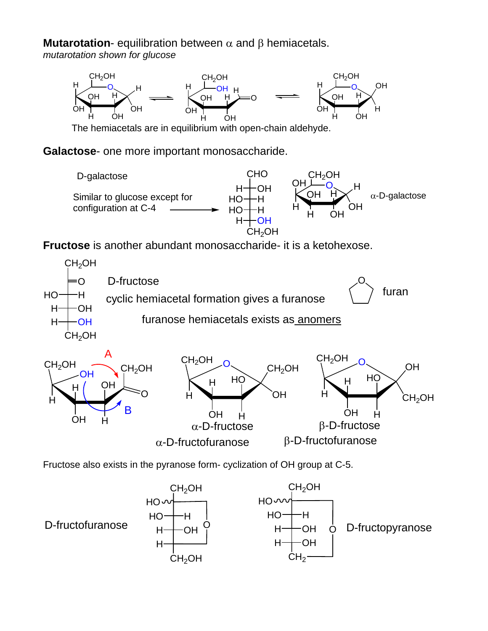**Mutarotation**- equilibration between α and β hemiacetals.

*mutarotation shown for glucose* 



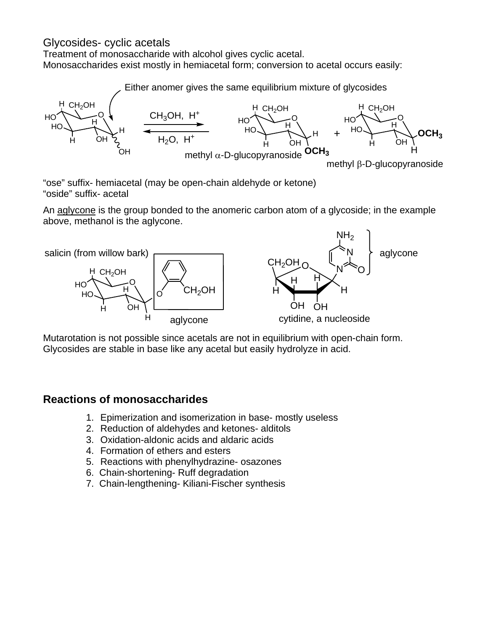### Glycosides- cyclic acetals

Treatment of monosaccharide with alcohol gives cyclic acetal. Monosaccharides exist mostly in hemiacetal form; conversion to acetal occurs easily:

Either anomer gives the same equilibrium mixture of glycosides



"ose" suffix- hemiacetal (may be open-chain aldehyde or ketone) "oside" suffix- acetal

An aglycone is the group bonded to the anomeric carbon atom of a glycoside; in the example above, methanol is the aglycone.



Mutarotation is not possible since acetals are not in equilibrium with open-chain form. Glycosides are stable in base like any acetal but easily hydrolyze in acid.

## **Reactions of monosaccharides**

- 1. Epimerization and isomerization in base- mostly useless
- 2. Reduction of aldehydes and ketones- alditols
- 3. Oxidation-aldonic acids and aldaric acids
- 4. Formation of ethers and esters
- 5. Reactions with phenylhydrazine- osazones
- 6. Chain-shortening- Ruff degradation
- 7. Chain-lengthening- Kiliani-Fischer synthesis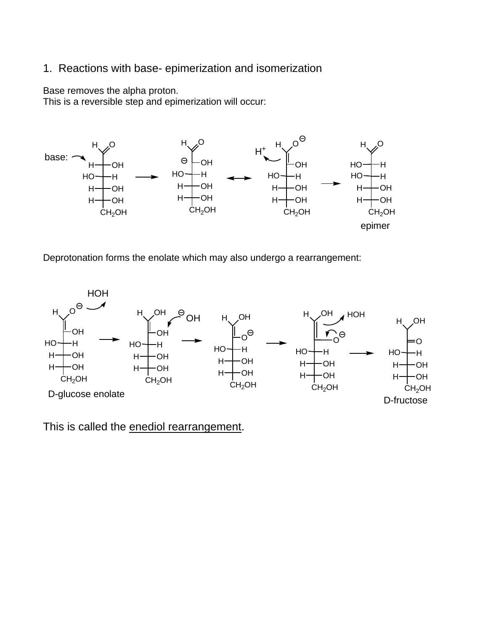### 1. Reactions with base- epimerization and isomerization

Base removes the alpha proton.

This is a reversible step and epimerization will occur:



Deprotonation forms the enolate which may also undergo a rearrangement:



This is called the enediol rearrangement.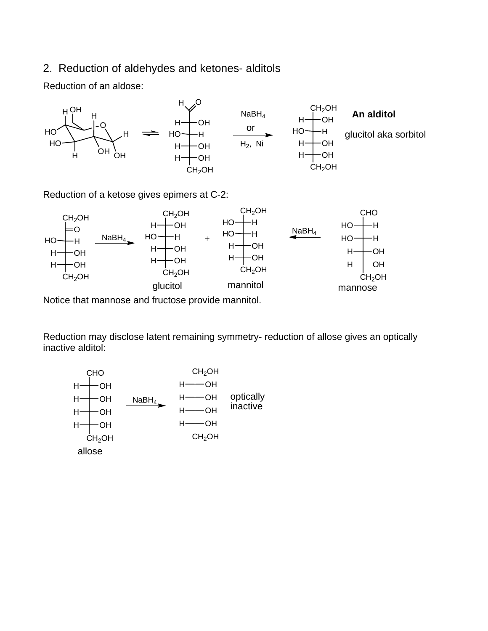#### 2. Reduction of aldehydes and ketones- alditols

Reduction of an aldose:



Reduction of a ketose gives epimers at C-2:



Notice that mannose and fructose provide mannitol.

Reduction may disclose latent remaining symmetry- reduction of allose gives an optically inactive alditol:

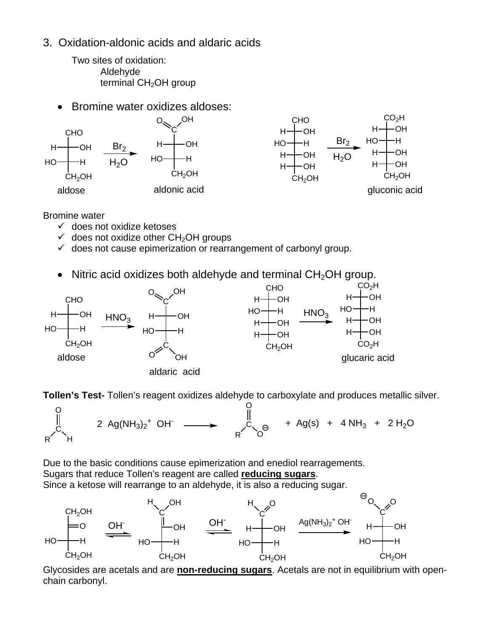3. Oxidation-aldonic acids and aldaric acids

Two sites of oxidation: Aldehyde terminal  $CH<sub>2</sub>OH$  group

• Bromine water oxidizes aldoses:



Bromine water

- $\checkmark$  does not oxidize ketoses
- $\checkmark$  does not oxidize other CH<sub>2</sub>OH groups
- $\checkmark$  does not cause epimerization or rearrangement of carbonyl group.
- Nitric acid oxidizes both aldehyde and terminal  $CH<sub>2</sub>OH$  group.



**Tollen's Test-** Tollen's reagent oxidizes aldehyde to carboxylate and produces metallic silver.



Due to the basic conditions cause epimerization and enediol rearragements. Sugars that reduce Tollen's reagent are called **reducing sugars**. Since a ketose will rearrange to an aldehyde, it is also a reducing sugar.



Glycosides are acetals and are **non-reducing sugars**. Acetals are not in equilibrium with openchain carbonyl.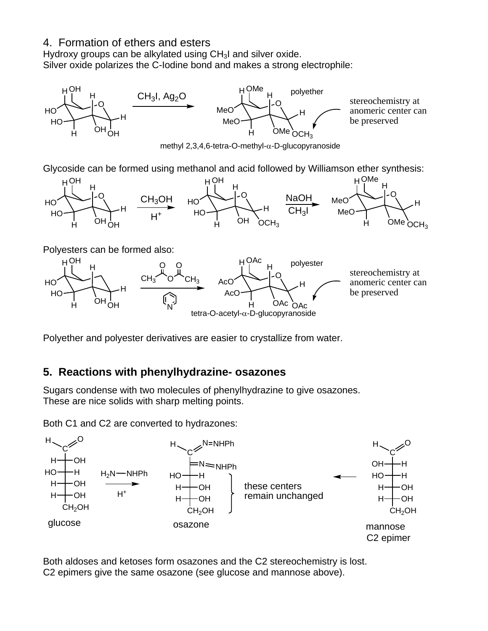### 4. Formation of ethers and esters

Hydroxy groups can be alkylated using CH<sub>3</sub>I and silver oxide. Silver oxide polarizes the C-Iodine bond and makes a strong electrophile:



Polyether and polyester derivatives are easier to crystallize from water.

## **5. Reactions with phenylhydrazine- osazones**

Sugars condense with two molecules of phenylhydrazine to give osazones. These are nice solids with sharp melting points.

Both C1 and C2 are converted to hydrazones:



Both aldoses and ketoses form osazones and the C2 stereochemistry is lost. C2 epimers give the same osazone (see glucose and mannose above).